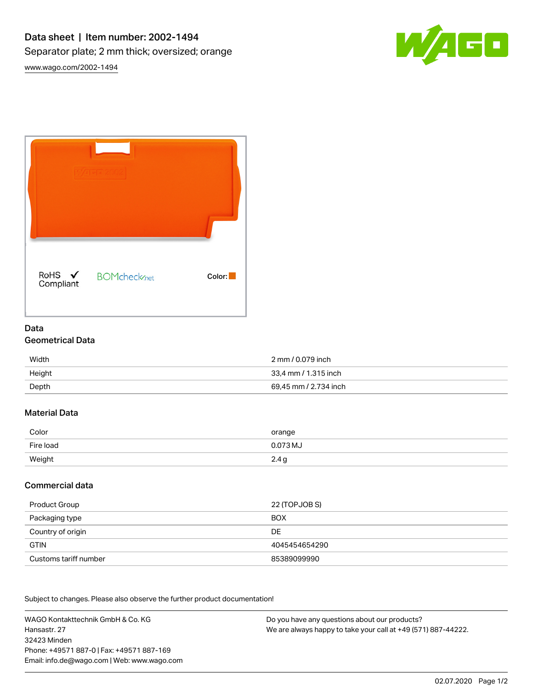



# Data Geometrical Data

| Width  | 2 mm / 0.079 inch     |
|--------|-----------------------|
| Height | 33.4 mm / 1.315 inch  |
| Depth  | 69.45 mm / 2.734 inch |

## Material Data

| Color     | orange                  |
|-----------|-------------------------|
| Fire load | 0.073 MJ                |
| Weight    | 2.4 <sub>q</sub><br>. . |

## Commercial data

| Product Group         | 22 (TOPJOB S) |
|-----------------------|---------------|
| Packaging type        | <b>BOX</b>    |
| Country of origin     | DE            |
| <b>GTIN</b>           | 4045454654290 |
| Customs tariff number | 85389099990   |

Subject to changes. Please also observe the further product documentation!

WAGO Kontakttechnik GmbH & Co. KG Hansastr. 27 32423 Minden Phone: +49571 887-0 | Fax: +49571 887-169 Email: info.de@wago.com | Web: www.wago.com

Do you have any questions about our products? We are always happy to take your call at +49 (571) 887-44222.